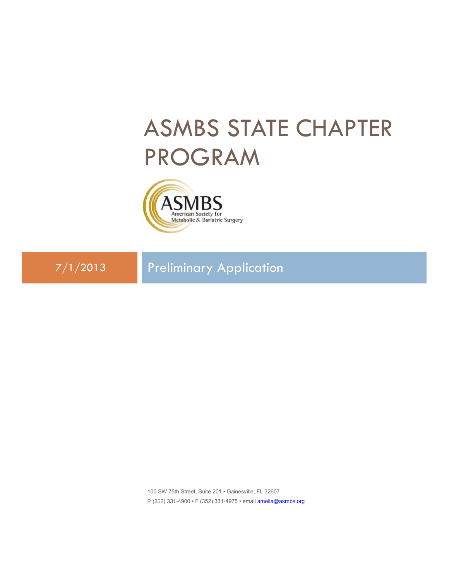## ASMBS STATE CHAPTER PROGRAM



7/1/2013 Preliminary Application

100 SW 75th Street, Suite 201 • Gainesville, FL 32607 P (352) 331-4900 • F (352) 331-4975 • email [amelia@asmbs.org](mailto:amelia@asmbs.org)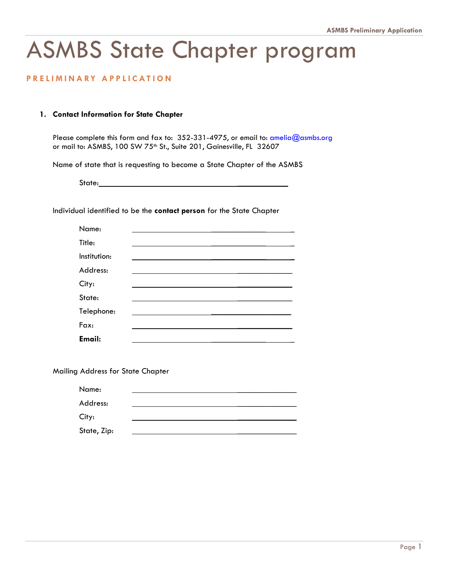## ASMBS State Chapter program

## **P R E L I M I N A RY A P P L I C A T I O N**

## **1. Contact Information for State Chapter**

Please complete this form and fax to: 352-331-4975, or email to: [amelia@asmbs.org](mailto:amelia@asmbs.org) or mail to: ASMBS, 100 SW 75<sup>th</sup> St., Suite 201, Gainesville, FL 32607

Name of state that is requesting to become a State Chapter of the ASMBS

State:

Individual identified to be the **contact person** for the State Chapter

| Name:         |  |  |
|---------------|--|--|
| Title:        |  |  |
| Institution:  |  |  |
| Address:      |  |  |
| City:         |  |  |
| State:        |  |  |
| Telephone:    |  |  |
| Fax:          |  |  |
| <b>Email:</b> |  |  |

Mailing Address for State Chapter

| Name:       |  |  |  |
|-------------|--|--|--|
| Address:    |  |  |  |
| City:       |  |  |  |
| State, Zip: |  |  |  |